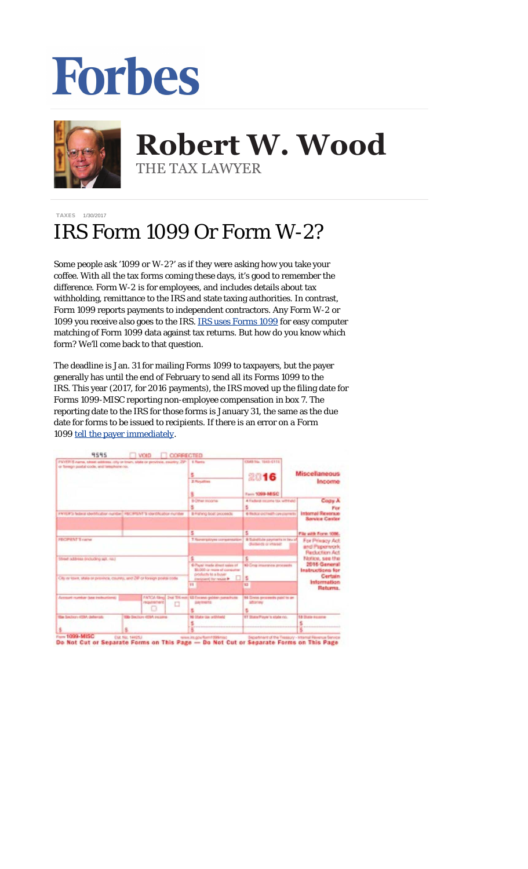## Forbes



## **Robert W. Wood Robert W. Wood** THE TAX LAWYER THE TAX LAWYER

## [TAXES](http://www.forbes.com/taxes) 1/30/2017

## IRS Form 1099 Or Form W-2?

Some people ask '1099 or W-2?' as if they were asking how you take your coffee. With all the tax forms coming these days, it's good to remember the difference. Form W-2 is for employees, and includes details about tax withholding, remittance to the IRS and state taxing authorities. In contrast, Form 1099 reports payments to independent contractors. Any Form W-2 or 1099 you receive *also* goes to the IRS. [IRS uses Forms 1099](http://www.forbes.com/sites/robertwood/2015/01/21/why-irs-form-1099-is-so-dangerous-to-your-tax-bill/) for easy computer matching of Form 1099 data against tax returns. But how do you know which form? We'll come back to that question.

The deadline is Jan. 31 for mailing Forms 1099 to taxpayers, but the payer generally has until the end of February to send all its Forms 1099 to the IRS. This year (2017, for 2016 payments), the IRS moved up the filing date for Forms 1099-MISC reporting non-employee compensation in box 7. The reporting date to the IRS for those forms is January 31, the same as the due date for forms to be issued to recipients. If there is an error on a Form 1099 [tell the payer immediately.](http://www.forbes.com/sites/robertwood/2015/01/28/disagree-with-an-irs-form-1099-heres-what-to-do/)

| 9595<br><b>VOID</b><br><b>COFFECTED</b>                                                                                  |                                                                                   |                                                              |                                                                                  |
|--------------------------------------------------------------------------------------------------------------------------|-----------------------------------------------------------------------------------|--------------------------------------------------------------|----------------------------------------------------------------------------------|
| FWYER'S name, since address, city or linen, state or province, country, 291<br>or favoran postal code, and telephone no. | 4 Rumma                                                                           | CMB No. 1943-6115<br>2016                                    | <b>Miscellaneous</b>                                                             |
|                                                                                                                          | 2 Posation                                                                        | Farm 1099-14/5C                                              | Income                                                                           |
|                                                                                                                          | <b>BIOTAIR ROOMS</b>                                                              | 4-Faderal Income fax withheld<br>s.                          | Copy A<br>Pine                                                                   |
| PAYOR'S federal shedification registers H&CR/S/M "I shart/Noshue number                                                  | \$-Fishing boat proceeds.                                                         | 6 Religion profits all hours payments                        | <b>Internal Reworks</b><br><b>Service Carder</b>                                 |
|                                                                                                                          | s.                                                                                | s.                                                           | File with Form 1006.                                                             |
| PECIPIENT'S carrier                                                                                                      | 7 Reavergatinyes compensation                                                     | & Suindishe payments in test of<br>distants or interest      | For Principy Act.<br>and Paperwork<br><b>Recluction Act</b><br>Fácéicio, see the |
| Street address (including as), no.3<br>City or lows, shale or prevince, country, and Zell or foreign postal code.        |                                                                                   | s                                                            |                                                                                  |
|                                                                                                                          | \$17 and made sheet sales of<br>\$1,000-ai more of consumer<br>products to a buse | 60 Crop insurance proceeds                                   | 2016 General<br>Instructions for                                                 |
|                                                                                                                          | insciplient) for results <b>H</b> [12] S                                          |                                                              | Certain<br><b>Information</b>                                                    |
|                                                                                                                          | $\mathbf{H}$                                                                      | 13                                                           | Returns.                                                                         |
| Account number lase inclusions)<br>FATCA News 2nd TR was<br>Peterimana et<br>o                                           | <b>U. Faceso golden conscious</b><br><b>July Imarity</b>                          | 14. Greens processity puint to an<br><b>Millelland</b><br>s. |                                                                                  |
| His Sachon 459A delayada<br>135 Section 40M, recome                                                                      | <b>N-State Up withheld</b>                                                        | IT State Player's state rid.                                 | 18 Diale Elizabet                                                                |
|                                                                                                                          |                                                                                   |                                                              |                                                                                  |

Do Not Cut or Separate Forms on This Page - Do Not Cut or Separate Forms on This Page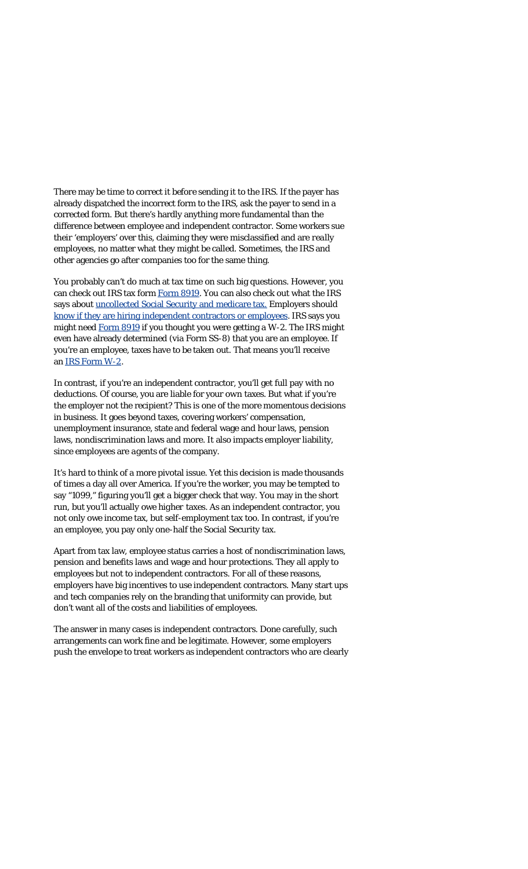There may be time to correct it *before* sending it to the IRS. If the payer has already dispatched the incorrect form to the IRS, ask the payer to send in a corrected form. But there's hardly anything more fundamental than the difference between employee and independent contractor. Some workers sue their 'employers' over this, claiming they were misclassified and are *really* employees, no matter what they might be called. Sometimes, the IRS and other agencies go after companies too for the same thing.

You probably can't do much at tax time on such big questions. However, you can check out IRS tax form [Form 8919.](https://www.google.com/url?sa=t&rct=j&q=&esrc=s&source=web&cd=1&cad=rja&uact=8&ved=0ahUKEwiZ0f2CtejRAhWosVQKHTG3ALwQFggaMAA&url=https%3A%2F%2Fwww.irs.gov%2Fpub%2Firs-pdf%2Ff8919.pdf&usg=AFQjCNE3EwlgNq73R0gsr3vrIgOr5e4pqA&bvm=bv.145822982,d.cGc) You can also check out what the IRS says about [uncollected Social Security and medicare tax.](https://www.google.com/url?sa=t&rct=j&q=&esrc=s&source=web&cd=2&cad=rja&uact=8&ved=0ahUKEwiZ0f2CtejRAhWosVQKHTG3ALwQFggfMAE&url=https%3A%2F%2Fwww.irs.gov%2Fuac%2Fform-8919-uncollected-social-security-and-medicare-tax-on-wages&usg=AFQjCNGCknwyXmYDwAfhK-HnwiHZiCRJfQ&bvm=bv.145822982,d.cGc) Employers should [know if they are hiring independent contractors or](https://www.irs.gov/businesses/small-businesses-self-employed/know-who-youre-hiring-independent-contractor-self-employed-vs-employee) employees. IRS says you might need [Form 8919](https://www.google.com/url?sa=t&rct=j&q=&esrc=s&source=web&cd=1&cad=rja&uact=8&ved=0ahUKEwiZ0f2CtejRAhWosVQKHTG3ALwQFggaMAA&url=https%3A%2F%2Fwww.irs.gov%2Fpub%2Firs-pdf%2Ff8919.pdf&usg=AFQjCNE3EwlgNq73R0gsr3vrIgOr5e4pqA&bvm=bv.145822982,d.cGc) if you thought you were getting a W-2. The IRS might even have already determined (via Form SS-8) that you are an employee. If you're an employee, taxes have to be taken out. That means you'll receive an [IRS Form W-2](http://www.irs.gov/pub/irs-pdf/fw2.pdf).

In contrast, if you're an independent contractor, you'll get full pay with no deductions. Of course, you are liable for your *own* taxes. But what if you're the employer not the recipient? This is one of the more momentous decisions in business. It goes beyond taxes, covering workers' compensation, unemployment insurance, state and federal wage and hour laws, pension laws, nondiscrimination laws and more. It also impacts employer liability, since employees are *agents* of the company.

It's hard to think of a more pivotal issue. Yet this decision is made thousands of times a day all over America. If you're the worker, you may be tempted to say "1099," figuring you'll get a bigger check that way. You may in the short run, but you'll actually owe *higher* taxes. As an independent contractor, you not only owe income tax, but self-employment tax too. In contrast, if you're an employee, you pay only one-half the Social Security tax.

Apart from tax law, employee status carries a host of nondiscrimination laws, pension and benefits laws and wage and hour protections. They all apply to employees but not to independent contractors. For all of these reasons, employers have big incentives to use independent contractors. Many start ups and tech companies rely on the branding that uniformity can provide, but don't want all of the costs and liabilities of employees.

The answer in many cases is independent contractors. Done carefully, such arrangements can work fine and be legitimate. However, some employers push the envelope to treat workers as independent contractors who are clearly